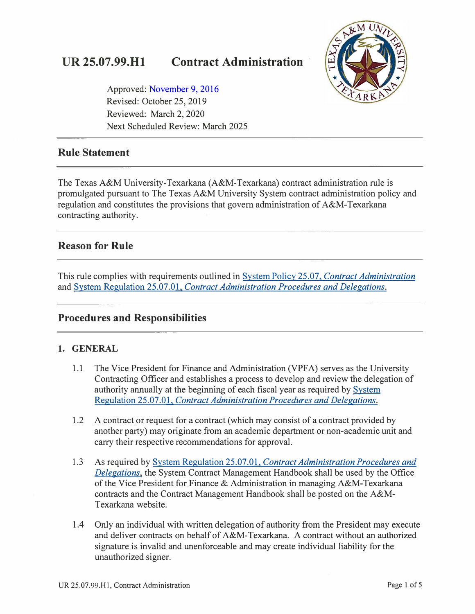# **UR 25.07.99.Hl Contract Administration**



Approved: [November 9, 2016](https://tamut.edu/about/administration/about/rules/archive_rules_procedure/25-07-99-H1_2016_version.pdf)  Revised: October 25, 2019 Reviewed: March 2, 2020 Next Scheduled Review: March 2025

### **Rule Statement**

The Texas A&M University-Texarkana (A&M-Texarkana) contract administration rule is promulgated pursuant to The Texas A&M University System contract administration policy and regulation and constitutes the provisions that govern administration of A&M-Texarkana contracting authority.

### **Reason for Rule**

This rule complies with requirements outlined in System Policy 25.07, *[Contract Administration](http://policies.tamus.edu/25-07.pdf)*  and System Regulation 25.07.01, *[Contract Administration Procedures and Delegations.](http://policies.tamus.edu/25-07-01.pdf)* 

#### **Procedures and Responsibilities**

#### **1. GENERAL**

- 1.1 The Vice President for Finance and Administration (VPF A) serves as the University Contracting Officer and establishes a process to develop and review the delegation of authority annually at the beginning of each fiscal year as required by [System](http://policies.tamus.edu/25-07-01.pdf)  Regulation 25.07.01, *[Contract Administration Procedures and Delegations.](http://policies.tamus.edu/25-07-01.pdf)*
- 1.2 A contract or request for a contract (which may consist of a contract provided by another party) may originate from an academic department or non-academic unit and carry their respective recommendations for approval.
- 1.3 As required by System Regulation 25.07.01, *[Contract Administration Procedures and](http://policies.tamus.edu/25-07-01.pdf)  [Delegations,](http://policies.tamus.edu/25-07-01.pdf)* the System Contract Management Handbook shall be used by the Office of the Vice President for Finance & Administration in managing A&M-Texarkana contracts and the Contract Management Handbook shall be posted on the A&M-Texarkana website.
- 1.4 Only an individual with written delegation of authority from the President may execute and deliver contracts on behalf of A&M-Texarkana. A contract without an authorized signature is invalid and unenforceable and may create individual liability for the unauthorized signer.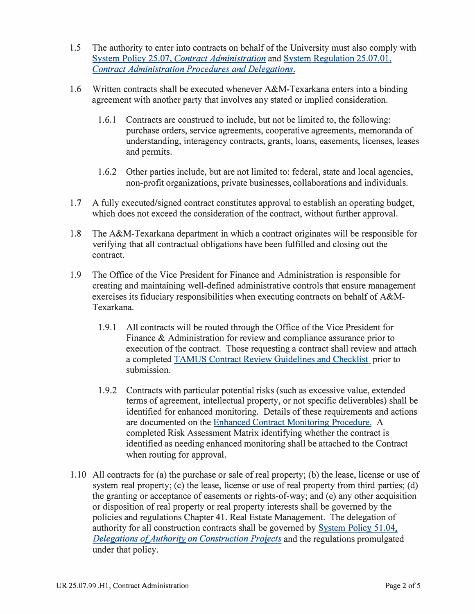- 1.5 The authority to enter into contracts on behalf of the University must also comply with System Policy 25.07. *[Contract Administration](http://policies.tamus.edu/25-07.pdf)* and [System Regulation 25.07.01.](http://policies.tamus.edu/25-07-01.pdf) *[Contract Administration Procedures and Delegations.](http://policies.tamus.edu/25-07-01.pdf)*
- 1.6 Written contracts shall be executed whenever A&M-Texarkana enters into a binding agreement with another party that involves any stated or implied consideration.
	- 1.6.1 Contracts are construed to include, but not be limited to, the following: purchase orders, service agreements, cooperative agreements, memoranda of understanding, interagency contracts, grants, loans, easements, licenses, leases and permits.
	- 1.6.2 Other parties include, but are not limited to: federal, state and local agencies, non-profit organizations, private businesses, collaborations and individuals.
- 1.7 A fully executed/signed contract constitutes approval to establish an operating budget, which does not exceed the consideration of the contract, without further approval.
- 1.8 The A&M-Texarkana department in which a contract originates will be responsible for verifying that all contractual obligations have been fulfilled and closing out the contract.
- 1.9 The Office of the Vice President for Finance and Administration is responsible for creating and maintaining well-defined administrative controls that ensure management exercises its fiduciary responsibilities when executing contracts on behalf of A&M-Texarkana.
	- 1.9.1 All contracts will be routed through the Office of the Vice President for Finance & Administration for review and compliance assurance prior to execution of the contract. Those requesting a contract shall review and attach a completed TAMUS Contract Review Guidelines and Checklist prior to submission.
	- 1.9.2 Contracts with particular potential risks (such as excessive value, extended terms of agreement, intellectual property, or not specific deliverables) shall be identified for enhanced monitoring. Details of these requirements and actions are documented on the [Enhanced Contract Monitoring Procedure.](https://www.tamut.edu/About/Administration/Finance/files/Enhanced%20Contract%20Monitoring%20Procedure%2008.30.2018.pdf) A completed Risk Assessment Matrix identifying whether the contract is identified as needing enhanced monitoring shall be attached to the Contract when routing for approval.
- 1.10 All contracts for (a) the purchase or sale of real property; (b) the lease, license or use of system real property; (c) the lease, license or use of real property from third parties; (d) the granting or acceptance of easements or rights-of-way; and (e) any other acquisition or disposition of real property or real property interests shall be governed by the policies and regulations Chapter 41. Real Estate Management. The delegation of authority for all construction contracts shall be governed by [System Policy 51.04.](http://policies.tamus.edu/51-04.pdf)  *[Delegations of Authority on Construction Proiects](http://policies.tamus.edu/51-04.pdf)* and the regulations promulgated under that policy.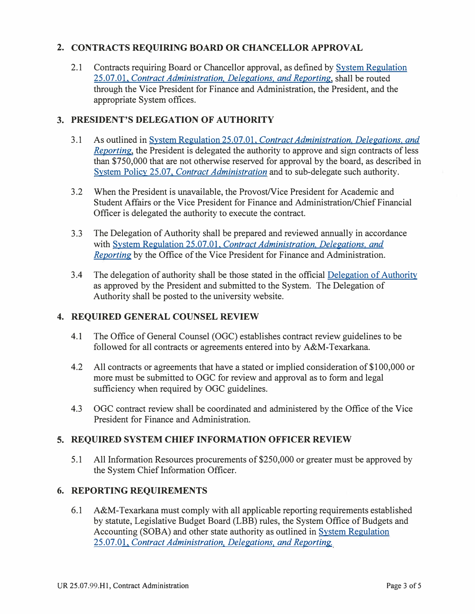#### **2. CONTRACTS REQUIRING BOARD OR CHANCELLOR APPROVAL**

2.1 Contracts requiring Board or Chancellor approval, as defined by [System Regulation](http://policies.tamus.edu/25-07-01.pdf) 25.07.01. *[Contract Administration. Delegations. and Reporting,](http://policies.tamus.edu/25-07-01.pdf)* shall be routed through the Vice President for Finance and Administration, the President, and the appropriate System offices.

#### **3. PRESIDENT'S DELEGATION OF AUTHORITY**

- 3.1 As outlined in System Regulation 25.07.01. *[Contract Administration. Delegations. and](http://policies.tamus.edu/25-07-01.pdf) [Reporting](http://policies.tamus.edu/25-07-01.pdf)*, the President is delegated the authority to approve and sign contracts of less than \$750,000 that are not otherwise reserved for approval by the board, as described in System Policy 25.07, *[Contract Administration](http://policies.tamus.edu/25-07.pdf)* and to sub-delegate such authority.
- 3 .2 When the President is unavailable, the Provost/Vice President for Academic and Student Affairs or the Vice President for Finance and Administration/Chief Financial Officer is delegated the authority to execute the contract.
- 3.3 The Delegation of Authority shall be prepared and reviewed annually in accordance with System Regulation 25.07.01. *[Contract Administration. Delegations. and](http://policies.tamus.edu/25-07-01.pdf)  [Reporting](http://policies.tamus.edu/25-07-01.pdf)* by the Office of the Vice President for Finance and Administration.
- 3 .4 The delegation of authority shall be those stated in the official [Delegation of Authority](https://tamut.edu/About/Administration/Finance/Delegation%20of%20Authority.html)  as approved by the President and submitted to the System. The Delegation of Authority shall be posted to the university website.

#### **4. REQUIRED GENERAL COUNSEL REVIEW**

- 4.1 The Office of General Counsel (OGC) establishes contract review guidelines to be followed for all contracts or agreements entered into by A&M-Texarkana.
- 4.2 All contracts or agreements that have a stated or implied consideration of \$100,000 or more must be submitted to OGC for review and approval as to form and legal sufficiency when required by OGC guidelines.
- 4.3 OGC contract review shall be coordinated and administered by the Office of the Vice President for Finance and Administration.

#### **5. REQUIRED SYSTEM CHIEF INFORMATION OFFICER REVIEW**

5.1 All Information Resources procurements of \$250,000 or greater must be approved by the System Chief Information Officer.

#### **6. REPORTING REQUIREMENTS**

6.1 A&M-Texarkana must comply with all applicable reporting requirements established by statute, Legislative Budget Board (LBB) rules, the System Office of Budgets and Accounting (SOBA) and other state authority as outlined in [System Regulation](http://policies.tamus.edu/25-07-01.pdf)  25.07.01. *[Contract Administration. Delegations. and Reporting.](http://policies.tamus.edu/25-07-01.pdf)*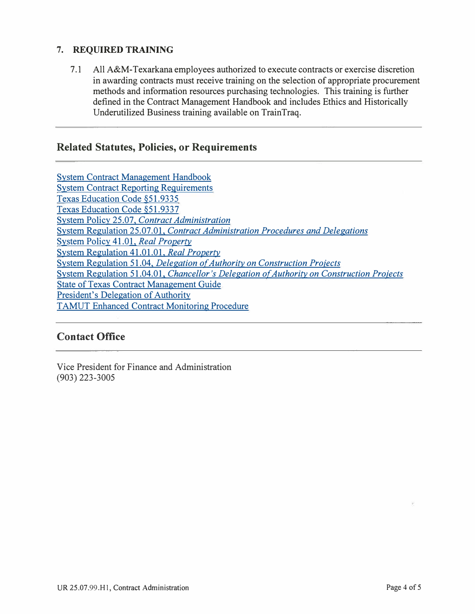#### **7. REQUIRED TRAINING**

7.1 All A&M-Texarkana employees authorized to execute contracts or exercise discretion in awarding contracts must receive training on the selection of appropriate procurement methods and information resources purchasing technologies. This training is further defined in the Contract Management Handbook and includes Ethics and Historically Underutilized Business training available on TrainTraq.

#### **Related Statutes, Policies, or Requirements**

| <b>System Contract Management Handbook</b>                                                |
|-------------------------------------------------------------------------------------------|
| <b>System Contract Reporting Requirements</b>                                             |
| Texas Education Code §51.9335                                                             |
| Texas Education Code §51.9337                                                             |
| <b>System Policy 25.07, Contract Administration</b>                                       |
| System Regulation 25.07.01, Contract Administration Procedures and Delegations            |
| System Policy 41.01, Real Property                                                        |
| System Regulation 41.01.01, Real Property                                                 |
| System Regulation 51.04, Delegation of Authority on Construction Projects                 |
| System Regulation 51.04.01, Chancellor's Delegation of Authority on Construction Projects |
| <b>State of Texas Contract Management Guide</b>                                           |
| President's Delegation of Authority                                                       |
| <b>TAMUT Enhanced Contract Monitoring Procedure</b>                                       |

### **Contact Office**

Vice President for Finance and Administration (903) 223-3005